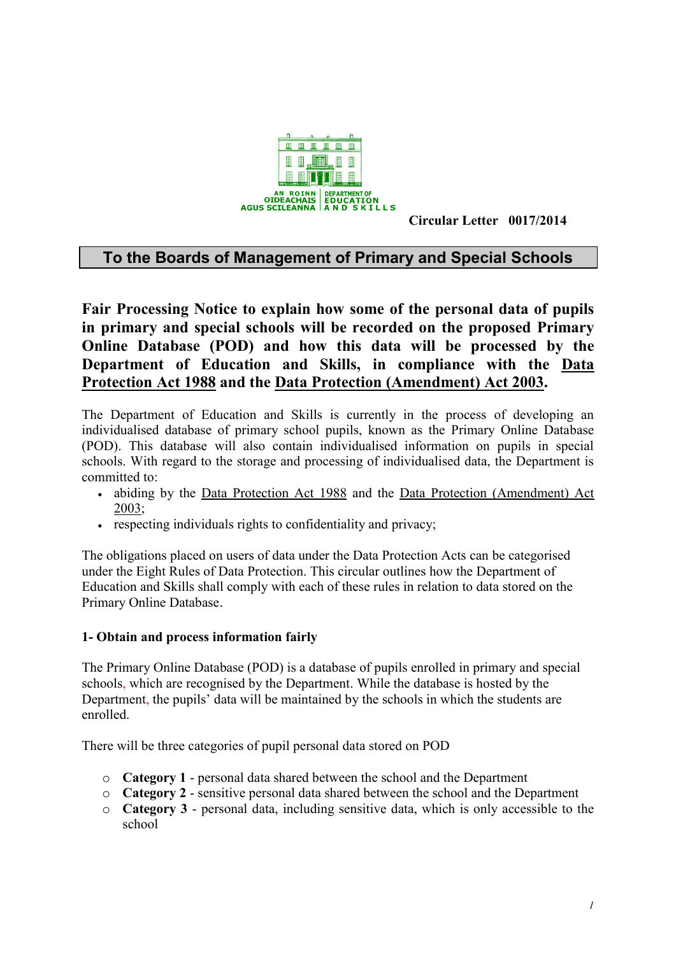

**Circular Letter 0017/2014**

# **To the Boards of Management of Primary and Special Schools**

**Fair Processing Notice to explain how some of the personal data of pupils in primary and special schools will be recorded on the proposed Primary Online Database (POD) and how this data will be processed by the Department of Education and Skills, in compliance with the [Data](http://www.irishstatutebook.ie/1988/en/act/pub/0025/index.html)  [Protection Act 1988](http://www.irishstatutebook.ie/1988/en/act/pub/0025/index.html) and the [Data Protection \(Amendment\) Act 2003.](http://www.irishstatutebook.ie/2003/en/act/pub/0006/index.html)**

The Department of Education and Skills is currently in the process of developing an individualised database of primary school pupils, known as the Primary Online Database (POD). This database will also contain individualised information on pupils in special schools. With regard to the storage and processing of individualised data, the Department is committed to:

- abiding by the [Data Protection Act 1988](http://www.irishstatutebook.ie/1988/en/act/pub/0025/index.html) and the [Data Protection \(Amendment\) Act](http://www.irishstatutebook.ie/2003/en/act/pub/0006/index.html)  [2003;](http://www.irishstatutebook.ie/2003/en/act/pub/0006/index.html)
- respecting individuals rights to confidentiality and privacy;

The obligations placed on users of data under the Data Protection Acts can be categorised under the Eight Rules of Data Protection. This circular outlines how the Department of Education and Skills shall comply with each of these rules in relation to data stored on the Primary Online Database.

## **1- Obtain and process information fairly**

The Primary Online Database (POD) is a database of pupils enrolled in primary and special schools, which are recognised by the Department. While the database is hosted by the Department, the pupils' data will be maintained by the schools in which the students are enrolled.

There will be three categories of pupil personal data stored on POD

- o **Category 1** personal data shared between the school and the Department
- o **Category 2** sensitive personal data shared between the school and the Department
- o **Category 3** personal data, including sensitive data, which is only accessible to the school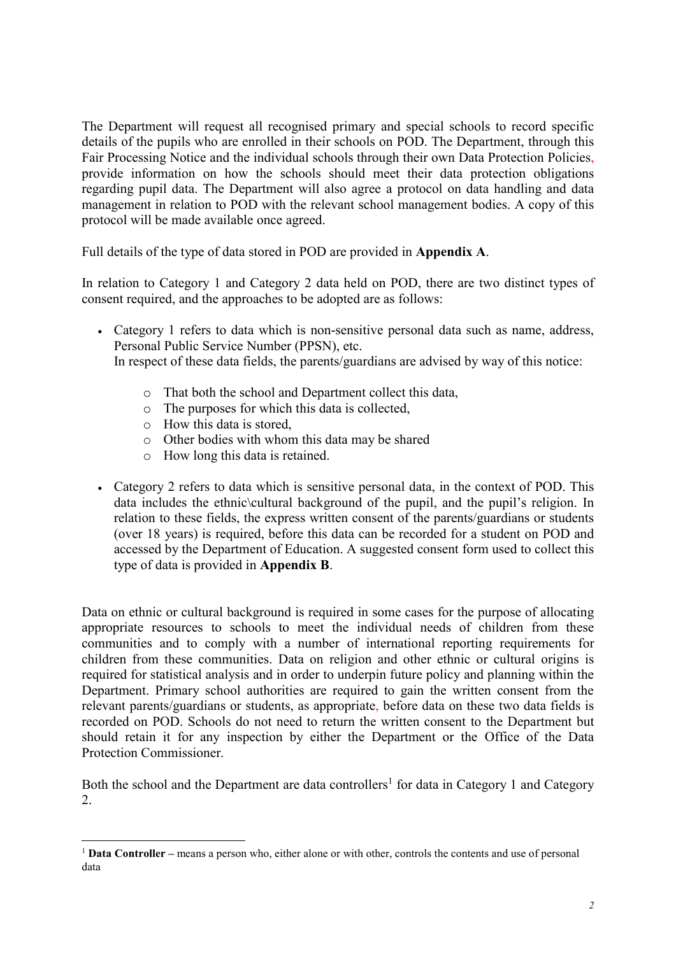The Department will request all recognised primary and special schools to record specific details of the pupils who are enrolled in their schools on POD. The Department, through this Fair Processing Notice and the individual schools through their own Data Protection Policies, provide information on how the schools should meet their data protection obligations regarding pupil data. The Department will also agree a protocol on data handling and data management in relation to POD with the relevant school management bodies. A copy of this protocol will be made available once agreed.

Full details of the type of data stored in POD are provided in **Appendix A**.

In relation to Category 1 and Category 2 data held on POD, there are two distinct types of consent required, and the approaches to be adopted are as follows:

- Category 1 refers to data which is non-sensitive personal data such as name, address, Personal Public Service Number (PPSN), etc. In respect of these data fields, the parents/guardians are advised by way of this notice:
	- o That both the school and Department collect this data,
	- o The purposes for which this data is collected,
	- o How this data is stored,

<u>.</u>

- o Other bodies with whom this data may be shared
- o How long this data is retained.
- Category 2 refers to data which is sensitive personal data, in the context of POD. This data includes the ethnic cultural background of the pupil, and the pupil's religion. In relation to these fields, the express written consent of the parents/guardians or students (over 18 years) is required, before this data can be recorded for a student on POD and accessed by the Department of Education. A suggested consent form used to collect this type of data is provided in **Appendix B**.

Data on ethnic or cultural background is required in some cases for the purpose of allocating appropriate resources to schools to meet the individual needs of children from these communities and to comply with a number of international reporting requirements for children from these communities. Data on religion and other ethnic or cultural origins is required for statistical analysis and in order to underpin future policy and planning within the Department. Primary school authorities are required to gain the written consent from the relevant parents/guardians or students, as appropriate, before data on these two data fields is recorded on POD. Schools do not need to return the written consent to the Department but should retain it for any inspection by either the Department or the Office of the Data Protection Commissioner.

Both the school and the Department are data controllers<sup>1</sup> for data in Category 1 and Category 2.

<sup>1</sup> **Data Controller –** means a person who, either alone or with other, controls the contents and use of personal data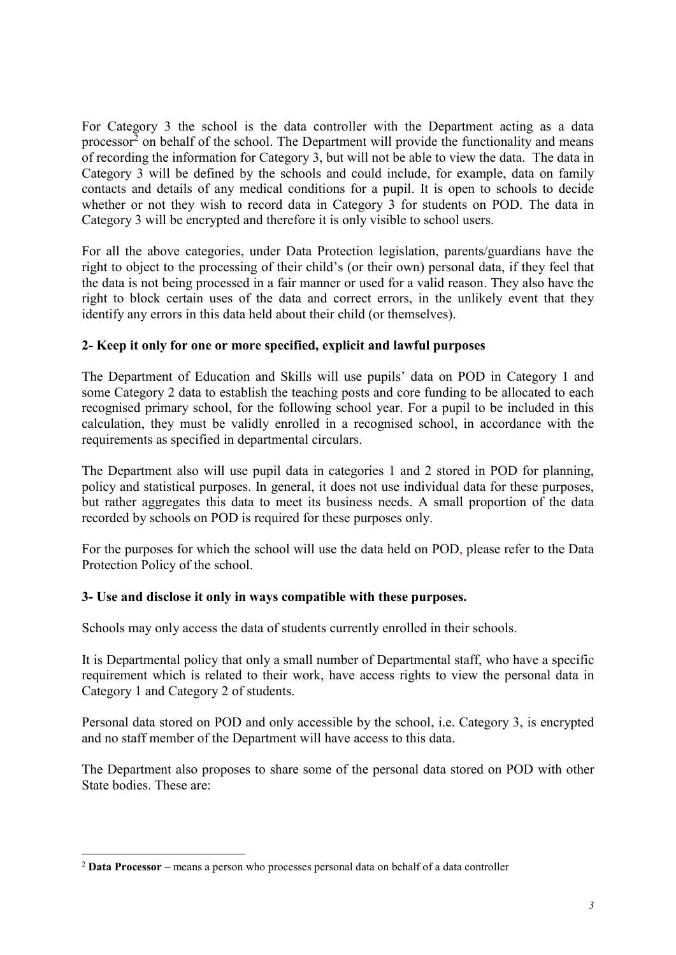For Category 3 the school is the data controller with the Department acting as a data processor<sup>2</sup> on behalf of the school. The Department will provide the functionality and means of recording the information for Category 3, but will not be able to view the data. The data in Category 3 will be defined by the schools and could include, for example, data on family contacts and details of any medical conditions for a pupil. It is open to schools to decide whether or not they wish to record data in Category 3 for students on POD. The data in Category 3 will be encrypted and therefore it is only visible to school users.

For all the above categories, under Data Protection legislation, parents/guardians have the right to object to the processing of their child's (or their own) personal data, if they feel that the data is not being processed in a fair manner or used for a valid reason. They also have the right to block certain uses of the data and correct errors, in the unlikely event that they identify any errors in this data held about their child (or themselves).

## **2- Keep it only for one or more specified, explicit and lawful purposes**

The Department of Education and Skills will use pupils' data on POD in Category 1 and some Category 2 data to establish the teaching posts and core funding to be allocated to each recognised primary school, for the following school year. For a pupil to be included in this calculation, they must be validly enrolled in a recognised school, in accordance with the requirements as specified in departmental circulars.

The Department also will use pupil data in categories 1 and 2 stored in POD for planning, policy and statistical purposes. In general, it does not use individual data for these purposes, but rather aggregates this data to meet its business needs. A small proportion of the data recorded by schools on POD is required for these purposes only.

For the purposes for which the school will use the data held on POD, please refer to the Data Protection Policy of the school.

## **3- Use and disclose it only in ways compatible with these purposes.**

Schools may only access the data of students currently enrolled in their schools.

It is Departmental policy that only a small number of Departmental staff, who have a specific requirement which is related to their work, have access rights to view the personal data in Category 1 and Category 2 of students.

Personal data stored on POD and only accessible by the school, i.e. Category 3, is encrypted and no staff member of the Department will have access to this data.

The Department also proposes to share some of the personal data stored on POD with other State bodies. These are:

1

<sup>2</sup> **Data Processor** – means a person who processes personal data on behalf of a data controller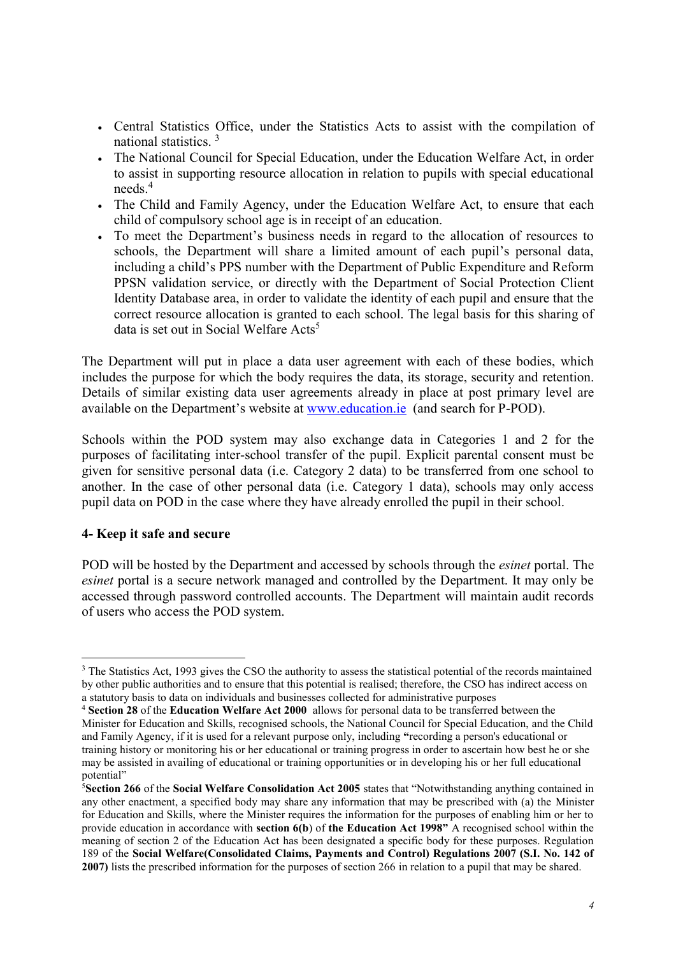- Central Statistics Office, under the Statistics Acts to assist with the compilation of national statistics. <sup>3</sup>
- The National Council for Special Education, under the Education Welfare Act, in order to assist in supporting resource allocation in relation to pupils with special educational needs<sup>4</sup>
- The Child and Family Agency, under the Education Welfare Act, to ensure that each child of compulsory school age is in receipt of an education.
- To meet the Department's business needs in regard to the allocation of resources to schools, the Department will share a limited amount of each pupil's personal data, including a child's PPS number with the Department of Public Expenditure and Reform PPSN validation service, or directly with the Department of Social Protection Client Identity Database area, in order to validate the identity of each pupil and ensure that the correct resource allocation is granted to each school. The legal basis for this sharing of data is set out in Social Welfare  $Acts<sup>5</sup>$

The Department will put in place a data user agreement with each of these bodies, which includes the purpose for which the body requires the data, its storage, security and retention. Details of similar existing data user agreements already in place at post primary level are available on the Department's website at [www.education.ie](http://www.education.ie/) (and search for P-POD).

Schools within the POD system may also exchange data in Categories 1 and 2 for the purposes of facilitating inter-school transfer of the pupil. Explicit parental consent must be given for sensitive personal data (i.e. Category 2 data) to be transferred from one school to another. In the case of other personal data (i.e. Category 1 data), schools may only access pupil data on POD in the case where they have already enrolled the pupil in their school.

#### **4- Keep it safe and secure**

1

POD will be hosted by the Department and accessed by schools through the *esinet* portal. The *esinet* portal is a secure network managed and controlled by the Department. It may only be accessed through password controlled accounts. The Department will maintain audit records of users who access the POD system.

<sup>&</sup>lt;sup>3</sup> The Statistics Act, 1993 gives the CSO the authority to assess the statistical potential of the records maintained by other public authorities and to ensure that this potential is realised; therefore, the CSO has indirect access on a statutory basis to data on individuals and businesses collected for administrative purposes

<sup>4</sup> **Section 28** of the **Education Welfare Act 2000** allows for personal data to be transferred between the Minister for Education and Skills, recognised schools, the National Council for Special Education, and the Child and Family Agency, if it is used for a relevant purpose only, including **"**recording a person's educational or training history or monitoring his or her educational or training progress in order to ascertain how best he or she may be assisted in availing of educational or training opportunities or in developing his or her full educational potential"

<sup>5</sup>**Section 266** of the **Social Welfare Consolidation Act 2005** states that "Notwithstanding anything contained in any other enactment, a specified body may share any information that may be prescribed with (a) the Minister for Education and Skills, where the Minister requires the information for the purposes of enabling him or her to provide education in accordance with **section 6(b**) of **the Education Act 1998"** A recognised school within the meaning of section 2 of the Education Act has been designated a specific body for these purposes. Regulation 189 of the **Social Welfare(Consolidated Claims, Payments and Control) Regulations 2007 (S.I. No. 142 of 2007)** lists the prescribed information for the purposes of section 266 in relation to a pupil that may be shared.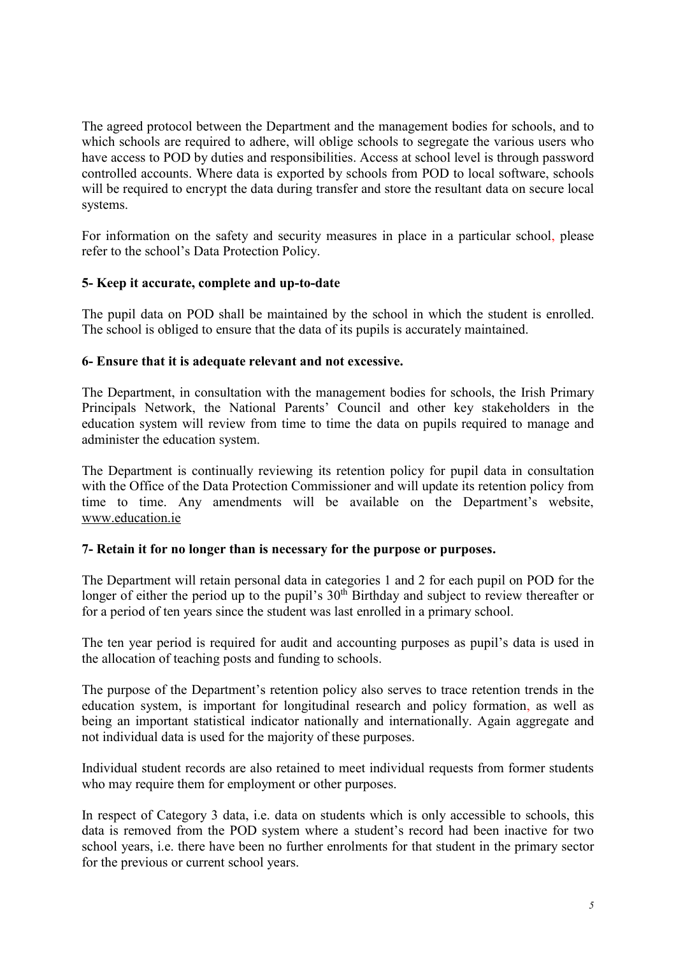The agreed protocol between the Department and the management bodies for schools, and to which schools are required to adhere, will oblige schools to segregate the various users who have access to POD by duties and responsibilities. Access at school level is through password controlled accounts. Where data is exported by schools from POD to local software, schools will be required to encrypt the data during transfer and store the resultant data on secure local systems.

For information on the safety and security measures in place in a particular school, please refer to the school's Data Protection Policy.

## **5- Keep it accurate, complete and up-to-date**

The pupil data on POD shall be maintained by the school in which the student is enrolled. The school is obliged to ensure that the data of its pupils is accurately maintained.

#### **6- Ensure that it is adequate relevant and not excessive.**

The Department, in consultation with the management bodies for schools, the Irish Primary Principals Network, the National Parents' Council and other key stakeholders in the education system will review from time to time the data on pupils required to manage and administer the education system.

The Department is continually reviewing its retention policy for pupil data in consultation with the Office of the Data Protection Commissioner and will update its retention policy from time to time. Any amendments will be available on the Department's website, [www.education.ie](http://www.education.ie/) 

#### **7- Retain it for no longer than is necessary for the purpose or purposes.**

The Department will retain personal data in categories 1 and 2 for each pupil on POD for the longer of either the period up to the pupil's 30<sup>th</sup> Birthday and subject to review thereafter or for a period of ten years since the student was last enrolled in a primary school.

The ten year period is required for audit and accounting purposes as pupil's data is used in the allocation of teaching posts and funding to schools.

The purpose of the Department's retention policy also serves to trace retention trends in the education system, is important for longitudinal research and policy formation, as well as being an important statistical indicator nationally and internationally. Again aggregate and not individual data is used for the majority of these purposes.

Individual student records are also retained to meet individual requests from former students who may require them for employment or other purposes.

In respect of Category 3 data, i.e. data on students which is only accessible to schools, this data is removed from the POD system where a student's record had been inactive for two school years, i.e. there have been no further enrolments for that student in the primary sector for the previous or current school years.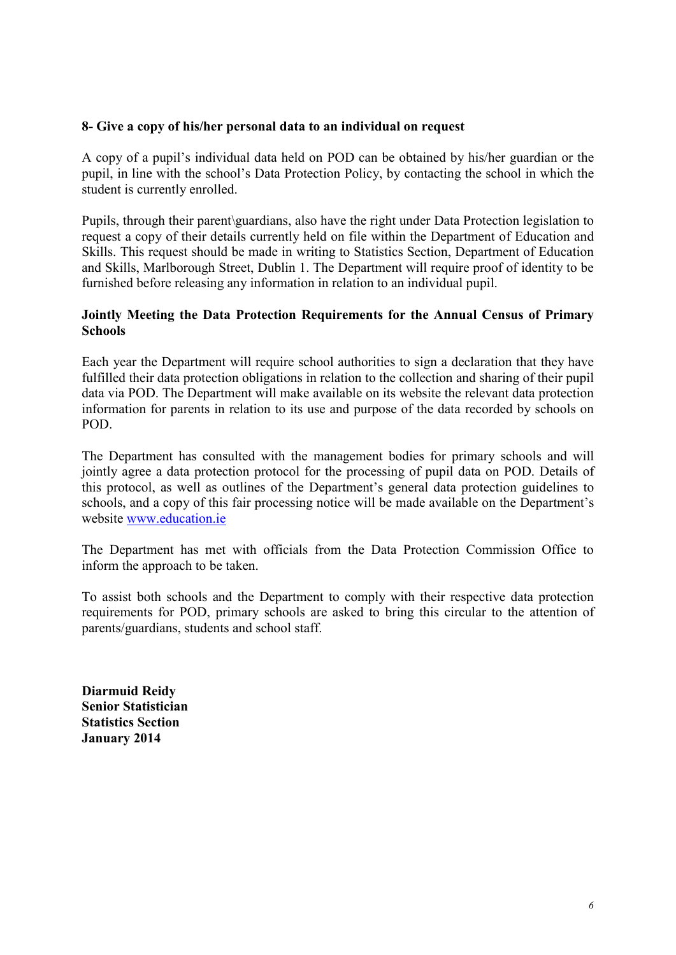#### **8- Give a copy of his/her personal data to an individual on request**

A copy of a pupil's individual data held on POD can be obtained by his/her guardian or the pupil, in line with the school's Data Protection Policy, by contacting the school in which the student is currently enrolled.

Pupils, through their parent\guardians, also have the right under Data Protection legislation to request a copy of their details currently held on file within the Department of Education and Skills. This request should be made in writing to Statistics Section, Department of Education and Skills, Marlborough Street, Dublin 1. The Department will require proof of identity to be furnished before releasing any information in relation to an individual pupil.

#### **Jointly Meeting the Data Protection Requirements for the Annual Census of Primary Schools**

Each year the Department will require school authorities to sign a declaration that they have fulfilled their data protection obligations in relation to the collection and sharing of their pupil data via POD. The Department will make available on its website the relevant data protection information for parents in relation to its use and purpose of the data recorded by schools on POD.

The Department has consulted with the management bodies for primary schools and will jointly agree a data protection protocol for the processing of pupil data on POD. Details of this protocol, as well as outlines of the Department's general data protection guidelines to schools, and a copy of this fair processing notice will be made available on the Department's website [www.education.ie](http://www.education.ie/)

The Department has met with officials from the Data Protection Commission Office to inform the approach to be taken.

To assist both schools and the Department to comply with their respective data protection requirements for POD, primary schools are asked to bring this circular to the attention of parents/guardians, students and school staff.

**Diarmuid Reidy Senior Statistician Statistics Section January 2014**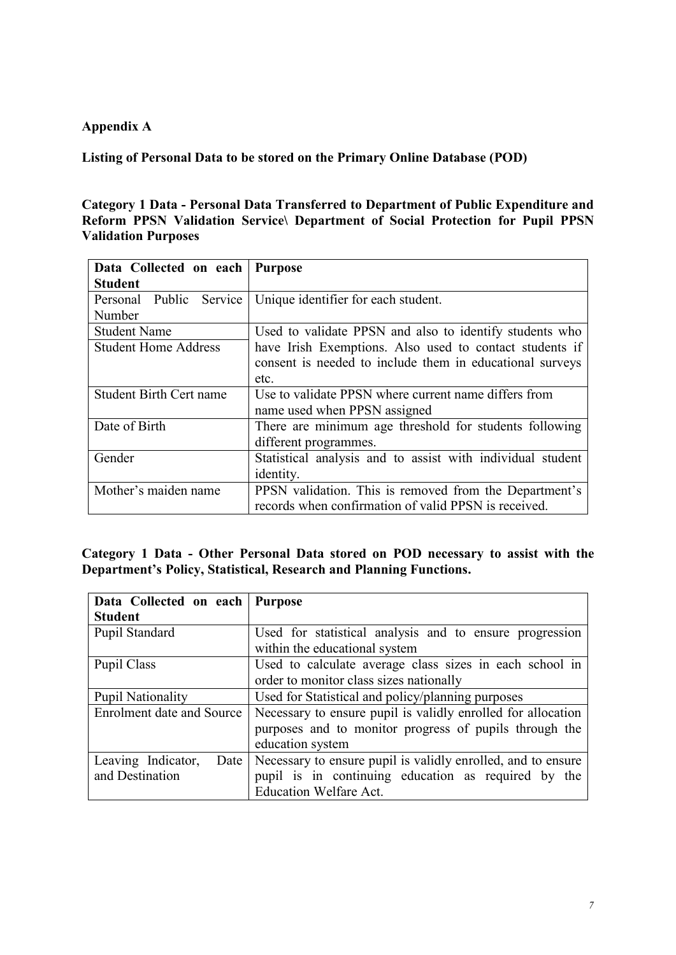## **Appendix A**

**Listing of Personal Data to be stored on the Primary Online Database (POD)** 

## **Category 1 Data - Personal Data Transferred to Department of Public Expenditure and Reform PPSN Validation Service\ Department of Social Protection for Pupil PPSN Validation Purposes**

| Data Collected on each         | <b>Purpose</b>                                             |
|--------------------------------|------------------------------------------------------------|
| <b>Student</b>                 |                                                            |
| Personal Public Service        | Unique identifier for each student.                        |
| Number                         |                                                            |
| <b>Student Name</b>            | Used to validate PPSN and also to identify students who    |
| <b>Student Home Address</b>    | have Irish Exemptions. Also used to contact students if    |
|                                | consent is needed to include them in educational surveys   |
|                                | etc.                                                       |
| <b>Student Birth Cert name</b> | Use to validate PPSN where current name differs from       |
|                                | name used when PPSN assigned                               |
| Date of Birth                  | There are minimum age threshold for students following     |
|                                | different programmes.                                      |
| Gender                         | Statistical analysis and to assist with individual student |
|                                | identity.                                                  |
| Mother's maiden name           | PPSN validation. This is removed from the Department's     |
|                                | records when confirmation of valid PPSN is received.       |

**Category 1 Data - Other Personal Data stored on POD necessary to assist with the Department's Policy, Statistical, Research and Planning Functions.**

| Data Collected on each                        | <b>Purpose</b>                                                                                                                                       |
|-----------------------------------------------|------------------------------------------------------------------------------------------------------------------------------------------------------|
| <b>Student</b>                                |                                                                                                                                                      |
| Pupil Standard                                | Used for statistical analysis and to ensure progression<br>within the educational system                                                             |
| Pupil Class                                   | Used to calculate average class sizes in each school in<br>order to monitor class sizes nationally                                                   |
| <b>Pupil Nationality</b>                      | Used for Statistical and policy/planning purposes                                                                                                    |
| <b>Enrolment date and Source</b>              | Necessary to ensure pupil is validly enrolled for allocation<br>purposes and to monitor progress of pupils through the<br>education system           |
| Leaving Indicator,<br>Date<br>and Destination | Necessary to ensure pupil is validly enrolled, and to ensure<br>pupil is in continuing education as required by the<br><b>Education Welfare Act.</b> |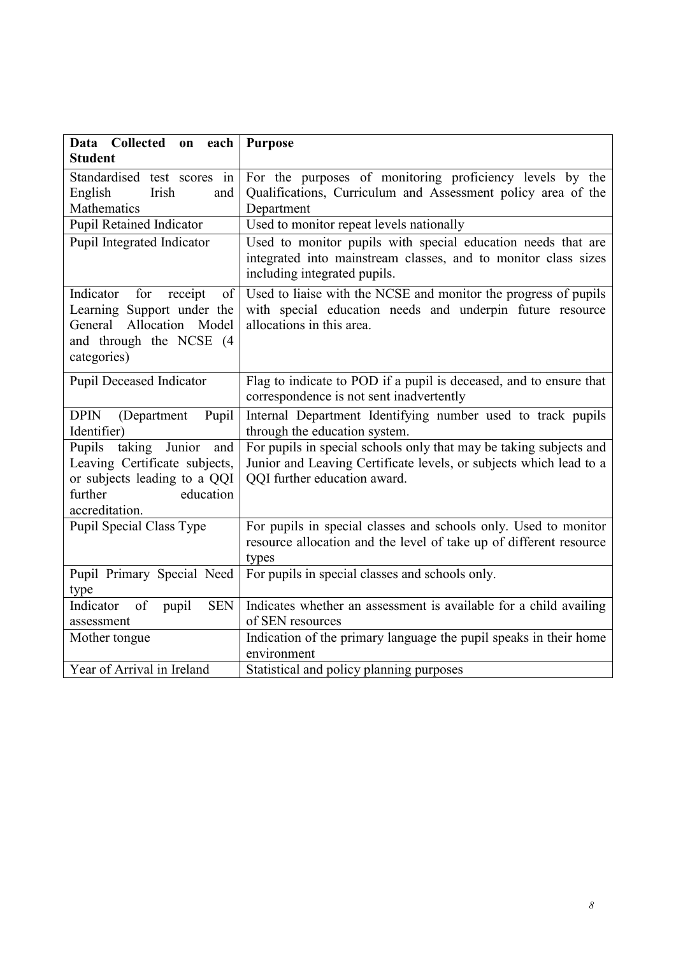| Data Collected on each                                                                                                                       | <b>Purpose</b>                                                                                                                                                           |
|----------------------------------------------------------------------------------------------------------------------------------------------|--------------------------------------------------------------------------------------------------------------------------------------------------------------------------|
| <b>Student</b>                                                                                                                               |                                                                                                                                                                          |
| Standardised test scores in<br>English<br>Irish<br>and<br>Mathematics                                                                        | For the purposes of monitoring proficiency levels by the<br>Qualifications, Curriculum and Assessment policy area of the<br>Department                                   |
| <b>Pupil Retained Indicator</b>                                                                                                              | Used to monitor repeat levels nationally                                                                                                                                 |
| Pupil Integrated Indicator                                                                                                                   | Used to monitor pupils with special education needs that are<br>integrated into mainstream classes, and to monitor class sizes<br>including integrated pupils.           |
| Indicator<br>for<br>receipt<br>of<br>Learning Support under the<br>Allocation Model<br>General<br>and through the NCSE (4<br>categories)     | Used to liaise with the NCSE and monitor the progress of pupils<br>with special education needs and underpin future resource<br>allocations in this area.                |
| Pupil Deceased Indicator                                                                                                                     | Flag to indicate to POD if a pupil is deceased, and to ensure that<br>correspondence is not sent inadvertently                                                           |
| DPIN (Department<br>Pupil<br>Identifier)                                                                                                     | Internal Department Identifying number used to track pupils<br>through the education system.                                                                             |
| taking<br>Junior<br>Pupils<br>and<br>Leaving Certificate subjects,<br>or subjects leading to a QQI<br>further<br>education<br>accreditation. | For pupils in special schools only that may be taking subjects and<br>Junior and Leaving Certificate levels, or subjects which lead to a<br>QQI further education award. |
| Pupil Special Class Type                                                                                                                     | For pupils in special classes and schools only. Used to monitor<br>resource allocation and the level of take up of different resource<br>types                           |
| Pupil Primary Special Need<br>type                                                                                                           | For pupils in special classes and schools only.                                                                                                                          |
| <b>SEN</b><br>Indicator<br>of<br>pupil<br>assessment                                                                                         | Indicates whether an assessment is available for a child availing<br>of SEN resources                                                                                    |
| Mother tongue                                                                                                                                | Indication of the primary language the pupil speaks in their home<br>environment                                                                                         |
| Year of Arrival in Ireland                                                                                                                   | Statistical and policy planning purposes                                                                                                                                 |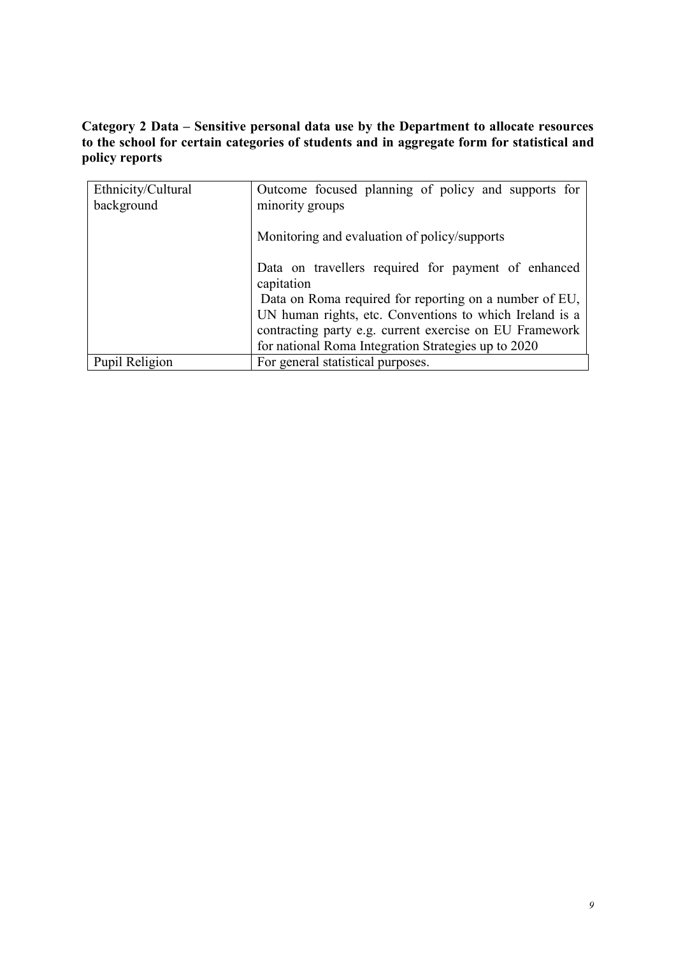# **Category 2 Data – Sensitive personal data use by the Department to allocate resources to the school for certain categories of students and in aggregate form for statistical and policy reports**

| Ethnicity/Cultural | Outcome focused planning of policy and supports for               |
|--------------------|-------------------------------------------------------------------|
| background         | minority groups                                                   |
|                    | Monitoring and evaluation of policy/supports                      |
|                    | Data on travellers required for payment of enhanced<br>capitation |
|                    | Data on Roma required for reporting on a number of EU,            |
|                    | UN human rights, etc. Conventions to which Ireland is a           |
|                    | contracting party e.g. current exercise on EU Framework           |
|                    | for national Roma Integration Strategies up to 2020               |
| Pupil Religion     | For general statistical purposes.                                 |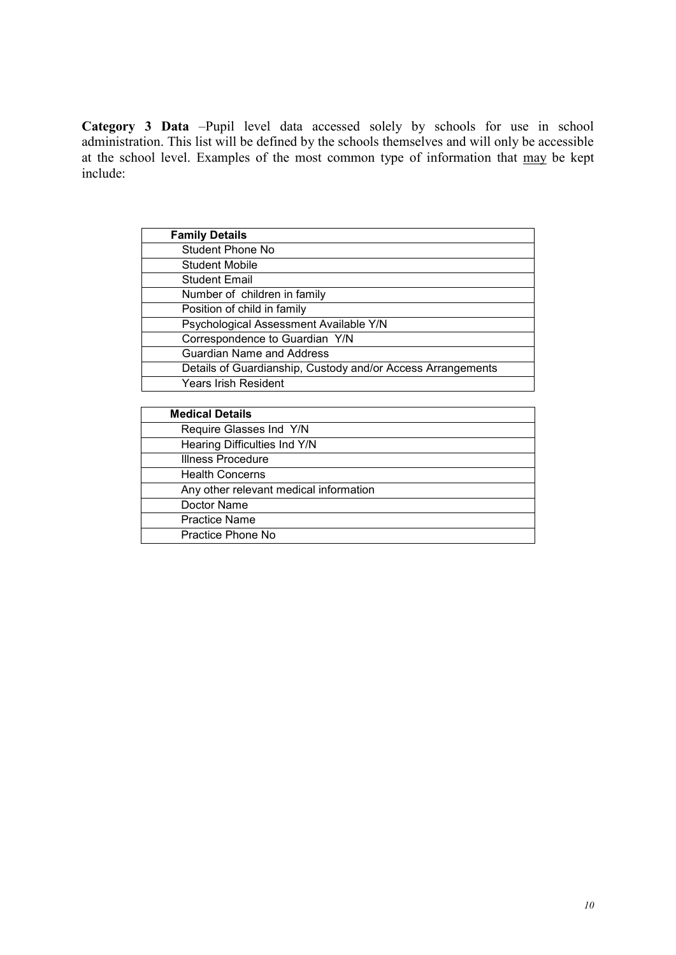**Category 3 Data** –Pupil level data accessed solely by schools for use in school administration. This list will be defined by the schools themselves and will only be accessible at the school level. Examples of the most common type of information that may be kept include:

| <b>Family Details</b>                  |                                                             |
|----------------------------------------|-------------------------------------------------------------|
| <b>Student Phone No</b>                |                                                             |
| <b>Student Mobile</b>                  |                                                             |
| <b>Student Email</b>                   |                                                             |
| Number of children in family           |                                                             |
| Position of child in family            |                                                             |
| Psychological Assessment Available Y/N |                                                             |
| Correspondence to Guardian Y/N         |                                                             |
| <b>Guardian Name and Address</b>       |                                                             |
|                                        | Details of Guardianship, Custody and/or Access Arrangements |
| <b>Years Irish Resident</b>            |                                                             |

| <b>Medical Details</b>                 |
|----------------------------------------|
| Require Glasses Ind Y/N                |
| Hearing Difficulties Ind Y/N           |
| <b>Illness Procedure</b>               |
| <b>Health Concerns</b>                 |
| Any other relevant medical information |
| Doctor Name                            |
| <b>Practice Name</b>                   |
| Practice Phone No                      |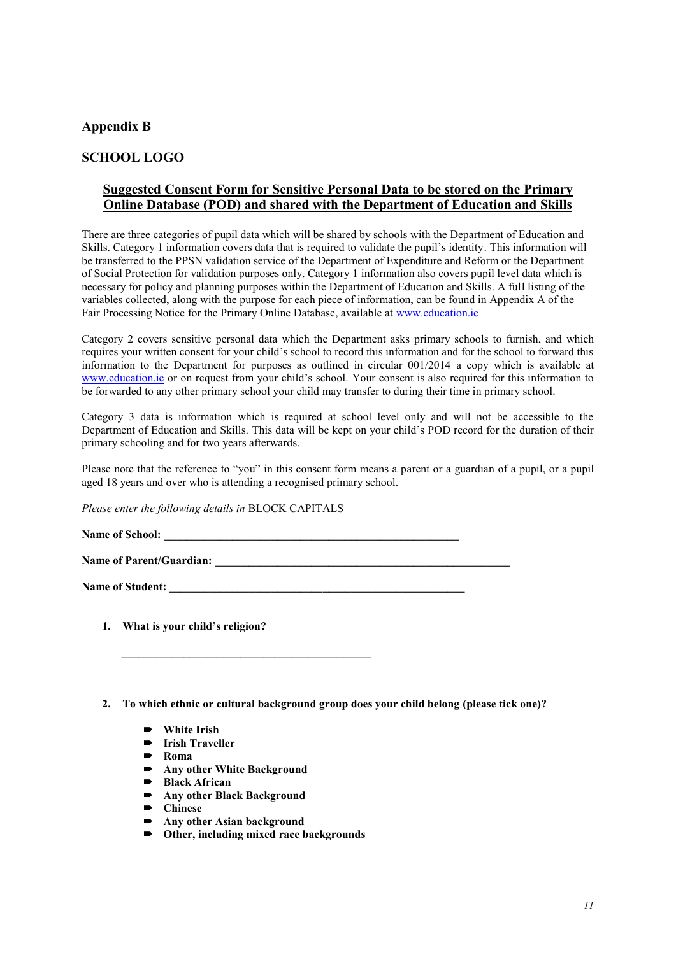#### **Appendix B**

## **SCHOOL LOGO**

#### **Suggested Consent Form for Sensitive Personal Data to be stored on the Primary Online Database (POD) and shared with the Department of Education and Skills**

There are three categories of pupil data which will be shared by schools with the Department of Education and Skills. Category 1 information covers data that is required to validate the pupil's identity. This information will be transferred to the PPSN validation service of the Department of Expenditure and Reform or the Department of Social Protection for validation purposes only. Category 1 information also covers pupil level data which is necessary for policy and planning purposes within the Department of Education and Skills. A full listing of the variables collected, along with the purpose for each piece of information, can be found in Appendix A of the Fair Processing Notice for the Primary Online Database, available at [www.education.ie](http://www.education.ie/)

Category 2 covers sensitive personal data which the Department asks primary schools to furnish, and which requires your written consent for your child's school to record this information and for the school to forward this information to the Department for purposes as outlined in circular 001/2014 a copy which is available at [www.education.ie](http://www.education.ie/) or on request from your child's school. Your consent is also required for this information to be forwarded to any other primary school your child may transfer to during their time in primary school.

Category 3 data is information which is required at school level only and will not be accessible to the Department of Education and Skills. This data will be kept on your child's POD record for the duration of their primary schooling and for two years afterwards.

Please note that the reference to "you" in this consent form means a parent or a guardian of a pupil, or a pupil aged 18 years and over who is attending a recognised primary school.

*Please enter the following details in* BLOCK CAPITALS

**Name of School: \_\_\_\_\_\_\_\_\_\_\_\_\_\_\_\_\_\_\_\_\_\_\_\_\_\_\_\_\_\_\_\_\_\_\_\_\_\_\_\_\_\_\_\_\_\_\_\_\_\_\_\_**

Name of Parent/Guardian:

Name of Student:

- **1. What is your child's religion?**
- **2. To which ethnic or cultural background group does your child belong (please tick one)?**
	- **White Irish**
	- **Irish Traveller**
	- **Roma**
	- **Any other White Background**<br> **Angle African**

 **\_\_\_\_\_\_\_\_\_\_\_\_\_\_\_\_\_\_\_\_\_\_\_\_\_\_\_\_\_\_\_\_\_\_\_\_\_\_\_\_\_\_\_\_**

- **Black African**<br>**B** Any other Black
- **Any other Black Background**
- **Chinese**
- **Any other Asian background**
- **Other, including mixed race backgrounds**